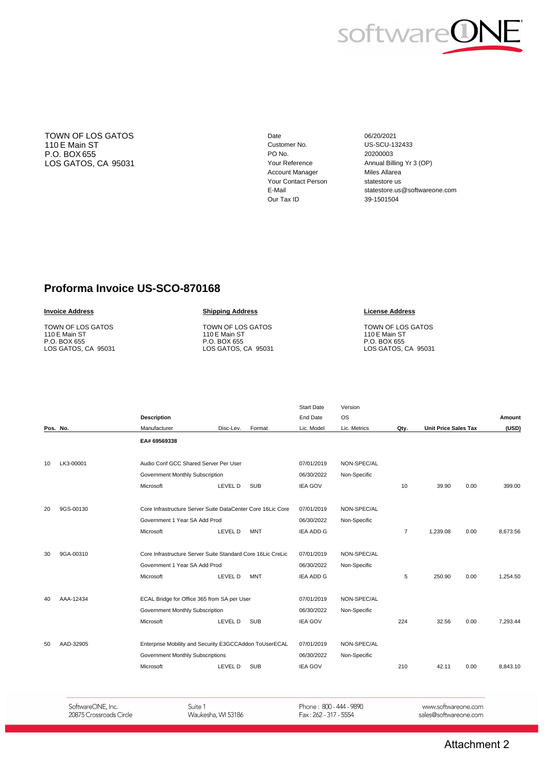

TOWN OF LOS GATOS 110 E Main ST P.O. BOX 655 LOS GATOS, CA 95031 Date Customer No. PO No. Your Reference Account Manager Your Contact Person E-Mail Our Tax ID

06/20/2021 US-SCU-132433 20200003 Annual Billing Yr 3 (OP) Miles Allarea statestore us statestore.us@softwareone.com 39-1501504

## **Proforma Invoice US-SCO-870168**

#### **Invoice Address**

TOWN OF LOS GATOS 110 E Main ST P.O. BOX 655 LOS GATOS, CA 95031

#### **Shipping Address**

TOWN OF LOS GATOS 110 E Main ST P.O. BOX 655 LOS GATOS, CA 95031

#### **License Address**

TOWN OF LOS GATOS 110 E Main ST P.O. BOX 655 LOS GATOS, CA 95031

|    |           |                                                                                            |           |            | <b>Start Date</b> | Version      |                |                             |      |          |
|----|-----------|--------------------------------------------------------------------------------------------|-----------|------------|-------------------|--------------|----------------|-----------------------------|------|----------|
|    |           | <b>Description</b>                                                                         |           |            | End Date          | <b>OS</b>    |                |                             |      | Amount   |
|    | Pos. No.  | Manufacturer                                                                               | Disc-Lev. | Format     | Lic. Model        | Lic. Metrics | Qty.           | <b>Unit Price Sales Tax</b> |      | (USD)    |
|    |           | EA# 69569338                                                                               |           |            |                   |              |                |                             |      |          |
|    |           |                                                                                            |           |            |                   |              |                |                             |      |          |
| 10 | LK3-00001 | Audio Conf GCC Shared Server Per User                                                      |           |            | 07/01/2019        | NON-SPEC/AL  |                |                             |      |          |
|    |           | Government Monthly Subscription                                                            |           |            | 06/30/2022        | Non-Specific |                |                             |      |          |
|    |           | Microsoft                                                                                  | LEVEL D   | <b>SUB</b> | <b>IEA GOV</b>    |              | 10             | 39.90                       | 0.00 | 399.00   |
|    |           |                                                                                            |           |            |                   |              |                |                             |      |          |
| 20 | 9GS-00130 | Core Infrastructure Server Suite DataCenter Core 16Lic Core                                |           |            | 07/01/2019        | NON-SPEC/AL  |                |                             |      |          |
|    |           | Government 1 Year SA Add Prod                                                              |           |            | 06/30/2022        | Non-Specific |                |                             |      |          |
|    |           | Microsoft                                                                                  | LEVEL D   | <b>MNT</b> | <b>IEA ADD G</b>  |              | $\overline{7}$ | 1,239.08                    | 0.00 | 8.673.56 |
|    |           |                                                                                            |           |            |                   |              |                |                             |      |          |
| 30 | 9GA-00310 | Core Infrastructure Server Suite Standard Core 16Lic CreLic                                |           |            | 07/01/2019        | NON-SPEC/AL  |                |                             |      |          |
|    |           | Government 1 Year SA Add Prod                                                              |           | 06/30/2022 | Non-Specific      |              |                |                             |      |          |
|    |           | Microsoft                                                                                  | LEVEL D   | <b>MNT</b> | <b>IEA ADD G</b>  |              | 5              | 250.90                      | 0.00 | 1.254.50 |
|    |           |                                                                                            |           |            |                   |              |                |                             |      |          |
| 40 | AAA-12434 | ECAL Bridge for Office 365 from SA per User                                                |           | 07/01/2019 | NON-SPEC/AL       |              |                |                             |      |          |
|    |           | Government Monthly Subscription                                                            |           |            | 06/30/2022        | Non-Specific |                |                             |      |          |
|    |           | Microsoft                                                                                  | LEVEL D   | <b>SUB</b> | <b>IEA GOV</b>    |              | 224            | 32.56                       | 0.00 | 7.293.44 |
|    |           |                                                                                            |           |            |                   |              |                |                             |      |          |
| 50 | AAD-32905 | Enterprise Mobility and Security E3GCCAddon ToUserECAL<br>Government Monthly Subscriptions |           | 07/01/2019 | NON-SPEC/AL       |              |                |                             |      |          |
|    |           |                                                                                            |           | 06/30/2022 | Non-Specific      |              |                |                             |      |          |
|    |           | Microsoft                                                                                  | LEVEL D   | <b>SUB</b> | <b>IEA GOV</b>    |              | 210            | 42.11                       | 0.00 | 8.843.10 |
|    |           |                                                                                            |           |            |                   |              |                |                             |      |          |
|    |           |                                                                                            |           |            |                   |              |                |                             |      |          |

SoftwareONE, Inc. 20875 Crossroads Circle Suite 1 Waukesha, WI 53186 Phone: 800 - 444 - 9890 Fax: 262 - 317 - 5554

www.softwareone.com sales@softwareone.com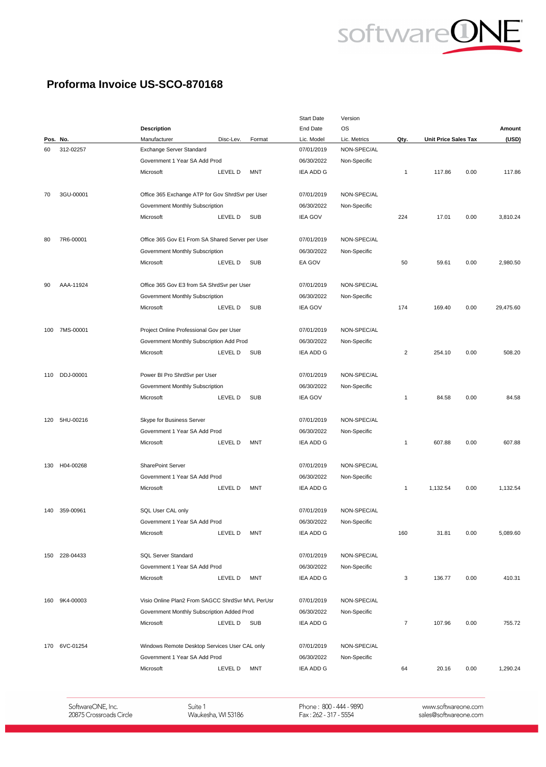

## Proforma Invoice US-SCO-870168

|     |               |                                                  |                |              | <b>Start Date</b> | Version      |      |                             |      |           |
|-----|---------------|--------------------------------------------------|----------------|--------------|-------------------|--------------|------|-----------------------------|------|-----------|
|     |               | <b>Description</b>                               |                |              | End Date          | <b>OS</b>    |      |                             |      | Amount    |
|     | Pos. No.      | Manufacturer                                     | Disc-Lev.      | Format       | Lic. Model        | Lic. Metrics | Qty. | <b>Unit Price Sales Tax</b> |      | (USD)     |
| 60  | 312-02257     | Exchange Server Standard                         |                |              | 07/01/2019        | NON-SPEC/AL  |      |                             |      |           |
|     |               | Government 1 Year SA Add Prod                    |                |              | 06/30/2022        | Non-Specific |      |                             |      |           |
|     |               | Microsoft                                        | LEVEL D        | <b>MNT</b>   | <b>IEA ADD G</b>  |              | 1    | 117.86                      | 0.00 | 117.86    |
| 70  | 3GU-00001     | Office 365 Exchange ATP for Gov ShrdSvr per User |                |              | 07/01/2019        | NON-SPEC/AL  |      |                             |      |           |
|     |               | Government Monthly Subscription                  |                |              | 06/30/2022        | Non-Specific |      |                             |      |           |
|     |               | Microsoft                                        | LEVEL D        | <b>SUB</b>   | <b>IEA GOV</b>    |              | 224  | 17.01                       | 0.00 | 3,810.24  |
| 80  | 7R6-00001     | Office 365 Gov E1 From SA Shared Server per User |                |              | 07/01/2019        | NON-SPEC/AL  |      |                             |      |           |
|     |               | Government Monthly Subscription                  |                |              | 06/30/2022        | Non-Specific |      |                             |      |           |
|     |               | Microsoft                                        | LEVEL D        | <b>SUB</b>   | EA GOV            |              | 50   | 59.61                       | 0.00 | 2,980.50  |
| 90  | AAA-11924     | Office 365 Gov E3 from SA ShrdSvr per User       |                |              | 07/01/2019        | NON-SPEC/AL  |      |                             |      |           |
|     |               |                                                  |                |              |                   |              |      |                             |      |           |
|     |               | Government Monthly Subscription                  |                |              | 06/30/2022        | Non-Specific |      |                             |      |           |
|     |               | Microsoft                                        | LEVEL D        | <b>SUB</b>   | <b>IEA GOV</b>    |              | 174  | 169.40                      | 0.00 | 29,475.60 |
| 100 | 7MS-00001     | Project Online Professional Gov per User         |                |              | 07/01/2019        | NON-SPEC/AL  |      |                             |      |           |
|     |               | Government Monthly Subscription Add Prod         |                |              | 06/30/2022        | Non-Specific |      |                             |      |           |
|     |               | Microsoft                                        | LEVEL D        | <b>SUB</b>   | IEA ADD G         |              | 2    | 254.10                      | 0.00 | 508.20    |
|     | DDJ-00001     |                                                  |                |              |                   |              |      |                             |      |           |
| 110 |               | Power BI Pro ShrdSvr per User                    | 07/01/2019     | NON-SPEC/AL  |                   |              |      |                             |      |           |
|     |               | Government Monthly Subscription                  |                |              | 06/30/2022        | Non-Specific |      |                             |      |           |
|     |               | Microsoft                                        | <b>LEVEL D</b> | <b>SUB</b>   | <b>IEA GOV</b>    |              | 1    | 84.58                       | 0.00 | 84.58     |
|     | 120 5HU-00216 | Skype for Business Server                        |                |              | 07/01/2019        | NON-SPEC/AL  |      |                             |      |           |
|     |               | Government 1 Year SA Add Prod                    |                |              | 06/30/2022        | Non-Specific |      |                             |      |           |
|     |               | Microsoft                                        | LEVEL D        | <b>MNT</b>   | <b>IEA ADD G</b>  |              | 1    | 607.88                      | 0.00 | 607.88    |
| 130 | H04-00268     | SharePoint Server                                |                |              | 07/01/2019        | NON-SPEC/AL  |      |                             |      |           |
|     |               | Government 1 Year SA Add Prod                    |                |              | 06/30/2022        | Non-Specific |      |                             |      |           |
|     |               | Microsoft                                        | <b>LEVEL D</b> | MNT          | IEA ADD G         |              | 1    | 1,132.54                    | 0.00 | 1,132.54  |
| 140 | 359-00961     | SQL User CAL only                                |                |              | 07/01/2019        | NON-SPEC/AL  |      |                             |      |           |
|     |               | Government 1 Year SA Add Prod                    |                |              | 06/30/2022        | Non-Specific |      |                             |      |           |
|     |               | Microsoft                                        | LEVEL D        | MNT          | IEA ADD G         |              | 160  | 31.81                       | 0.00 | 5,089.60  |
|     |               |                                                  |                |              |                   |              |      |                             |      |           |
| 150 | 228-04433     | <b>SQL Server Standard</b>                       |                |              | 07/01/2019        | NON-SPEC/AL  |      |                             |      |           |
|     |               | Government 1 Year SA Add Prod                    |                |              | 06/30/2022        | Non-Specific |      |                             |      |           |
|     |               | Microsoft                                        | LEVEL D        | <b>MNT</b>   | IEA ADD G         |              | 3    | 136.77                      | 0.00 | 410.31    |
|     | 160 9K4-00003 | Visio Online Plan2 From SAGCC ShrdSvr MVL PerUsr |                |              | 07/01/2019        | NON-SPEC/AL  |      |                             |      |           |
|     |               | Government Monthly Subscription Added Prod       | 06/30/2022     | Non-Specific |                   |              |      |                             |      |           |
|     |               | Microsoft                                        | LEVEL D        | SUB          | IEA ADD G         |              | 7    | 107.96                      | 0.00 | 755.72    |
|     | 170 6VC-01254 | Windows Remote Desktop Services User CAL only    |                |              | 07/01/2019        | NON-SPEC/AL  |      |                             |      |           |
|     |               | Government 1 Year SA Add Prod                    |                |              | 06/30/2022        | Non-Specific |      |                             |      |           |
|     |               | Microsoft                                        | <b>LEVEL D</b> | MNT          | IEA ADD G         |              | 64   | 20.16                       | 0.00 | 1,290.24  |
|     |               |                                                  |                |              |                   |              |      |                             |      |           |

SoftwareONE, Inc.<br>20875 Crossroads Circle

Suite 1 Waukesha, WI 53186 Phone : 800 - 444 - 9890<br>Fax : 262 - 317 - 5554

www.softwareone.com sales@softwareone.com